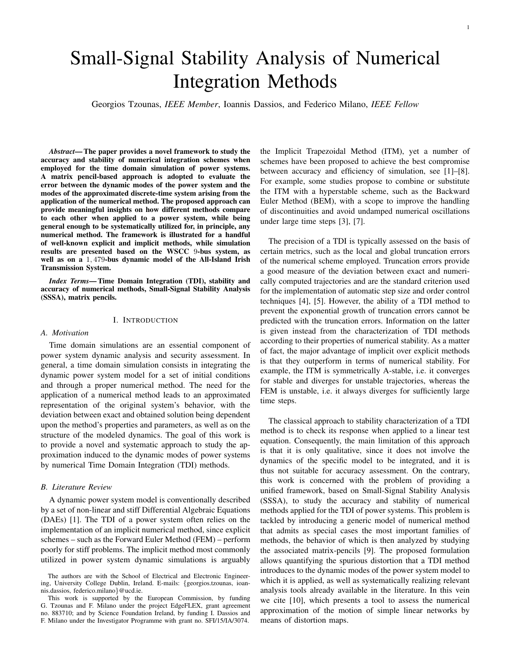# Small-Signal Stability Analysis of Numerical Integration Methods

Georgios Tzounas, *IEEE Member*, Ioannis Dassios, and Federico Milano, *IEEE Fellow*

*Abstract*— The paper provides a novel framework to study the accuracy and stability of numerical integration schemes when employed for the time domain simulation of power systems. A matrix pencil-based approach is adopted to evaluate the error between the dynamic modes of the power system and the modes of the approximated discrete-time system arising from the application of the numerical method. The proposed approach can provide meaningful insights on how different methods compare to each other when applied to a power system, while being general enough to be systematically utilized for, in principle, any numerical method. The framework is illustrated for a handful of well-known explicit and implicit methods, while simulation results are presented based on the WSCC 9-bus system, as well as on a 1, 479-bus dynamic model of the All-Island Irish Transmission System.

*Index Terms*— Time Domain Integration (TDI), stability and accuracy of numerical methods, Small-Signal Stability Analysis (SSSA), matrix pencils.

## I. INTRODUCTION

#### *A. Motivation*

Time domain simulations are an essential component of power system dynamic analysis and security assessment. In general, a time domain simulation consists in integrating the dynamic power system model for a set of initial conditions and through a proper numerical method. The need for the application of a numerical method leads to an approximated representation of the original system's behavior, with the deviation between exact and obtained solution being dependent upon the method's properties and parameters, as well as on the structure of the modeled dynamics. The goal of this work is to provide a novel and systematic approach to study the approximation induced to the dynamic modes of power systems by numerical Time Domain Integration (TDI) methods.

## *B. Literature Review*

A dynamic power system model is conventionally described by a set of non-linear and stiff Differential Algebraic Equations (DAEs) [1]. The TDI of a power system often relies on the implementation of an implicit numerical method, since explicit schemes – such as the Forward Euler Method (FEM) – perform poorly for stiff problems. The implicit method most commonly utilized in power system dynamic simulations is arguably the Implicit Trapezoidal Method (ITM), yet a number of schemes have been proposed to achieve the best compromise between accuracy and efficiency of simulation, see [1]–[8]. For example, some studies propose to combine or substitute the ITM with a hyperstable scheme, such as the Backward Euler Method (BEM), with a scope to improve the handling of discontinuities and avoid undamped numerical oscillations under large time steps [3], [7].

The precision of a TDI is typically assessed on the basis of certain metrics, such as the local and global truncation errors of the numerical scheme employed. Truncation errors provide a good measure of the deviation between exact and numerically computed trajectories and are the standard criterion used for the implementation of automatic step size and order control techniques [4], [5]. However, the ability of a TDI method to prevent the exponential growth of truncation errors cannot be predicted with the truncation errors. Information on the latter is given instead from the characterization of TDI methods according to their properties of numerical stability. As a matter of fact, the major advantage of implicit over explicit methods is that they outperform in terms of numerical stability. For example, the ITM is symmetrically A-stable, i.e. it converges for stable and diverges for unstable trajectories, whereas the FEM is unstable, i.e. it always diverges for sufficiently large time steps.

The classical approach to stability characterization of a TDI method is to check its response when applied to a linear test equation. Consequently, the main limitation of this approach is that it is only qualitative, since it does not involve the dynamics of the specific model to be integrated, and it is thus not suitable for accuracy assessment. On the contrary, this work is concerned with the problem of providing a unified framework, based on Small-Signal Stability Analysis (SSSA), to study the accuracy and stability of numerical methods applied for the TDI of power systems. This problem is tackled by introducing a generic model of numerical method that admits as special cases the most important families of methods, the behavior of which is then analyzed by studying the associated matrix-pencils [9]. The proposed formulation allows quantifying the spurious distortion that a TDI method introduces to the dynamic modes of the power system model to which it is applied, as well as systematically realizing relevant analysis tools already available in the literature. In this vein we cite [10], which presents a tool to assess the numerical approximation of the motion of simple linear networks by means of distortion maps.

The authors are with the School of Electrical and Electronic Engineering, University College Dublin, Ireland. E-mails: {georgios.tzounas, ioannis.dassios, federico.milano}@ucd.ie.

This work is supported by the European Commission, by funding G. Tzounas and F. Milano under the project EdgeFLEX, grant agreement no. 883710; and by Science Foundation Ireland, by funding I. Dassios and F. Milano under the Investigator Programme with grant no. SFI/15/IA/3074.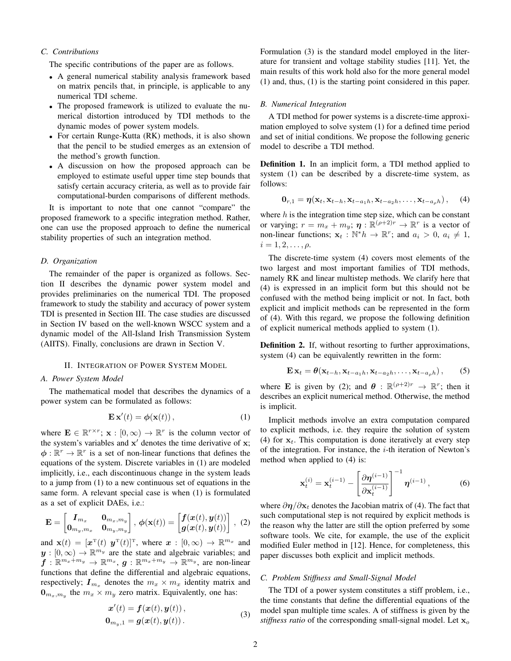# *C. Contributions*

The specific contributions of the paper are as follows.

- A general numerical stability analysis framework based on matrix pencils that, in principle, is applicable to any numerical TDI scheme.
- The proposed framework is utilized to evaluate the numerical distortion introduced by TDI methods to the dynamic modes of power system models.
- For certain Runge-Kutta (RK) methods, it is also shown that the pencil to be studied emerges as an extension of the method's growth function.
- A discussion on how the proposed approach can be employed to estimate useful upper time step bounds that satisfy certain accuracy criteria, as well as to provide fair computational-burden comparisons of different methods.

It is important to note that one cannot "compare" the proposed framework to a specific integration method. Rather, one can use the proposed approach to define the numerical stability properties of such an integration method.

# *D. Organization*

The remainder of the paper is organized as follows. Section II describes the dynamic power system model and provides preliminaries on the numerical TDI. The proposed framework to study the stability and accuracy of power system TDI is presented in Section III. The case studies are discussed in Section IV based on the well-known WSCC system and a dynamic model of the All-Island Irish Transmission System (AIITS). Finally, conclusions are drawn in Section V.

#### II. INTEGRATION OF POWER SYSTEM MODEL

#### *A. Power System Model*

The mathematical model that describes the dynamics of a power system can be formulated as follows:

$$
\mathbf{E}\,\mathbf{x}'(t) = \boldsymbol{\phi}(\mathbf{x}(t)),\tag{1}
$$

where  $\mathbf{E} \in \mathbb{R}^{r \times r}$ ;  $\mathbf{x} : [0, \infty) \to \mathbb{R}^r$  is the column vector of the system's variables and  $x'$  denotes the time derivative of  $x$ ;  $\phi : \mathbb{R}^r \to \mathbb{R}^r$  is a set of non-linear functions that defines the equations of the system. Discrete variables in (1) are modeled implicitly, i.e., each discontinuous change in the system leads to a jump from (1) to a new continuous set of equations in the same form. A relevant special case is when (1) is formulated as a set of explicit DAEs, i.e.:

$$
\mathbf{E} = \begin{bmatrix} \boldsymbol{I}_{m_x} & \mathbf{0}_{m_x, m_y} \\ \mathbf{0}_{m_y, m_x} & \mathbf{0}_{m_y, m_y} \end{bmatrix}, \ \boldsymbol{\phi}(\mathbf{x}(t)) = \begin{bmatrix} \boldsymbol{f}(\boldsymbol{x}(t), \boldsymbol{y}(t)) \\ \boldsymbol{g}(\boldsymbol{x}(t), \boldsymbol{y}(t)) \end{bmatrix}, \ (2)
$$

and  $\mathbf{x}(t) = [\mathbf{x}^{\mathrm{T}}(t) \ \mathbf{y}^{\mathrm{T}}(t)]^{\mathrm{T}}$ , where  $\mathbf{x} : [0, \infty) \to \mathbb{R}^{m_x}$  and  $y : [0, \infty) \to \mathbb{R}^{m_y}$  are the state and algebraic variables; and  $\boldsymbol{f}:\mathbb{R}^{m_x+m_y}\to\mathbb{R}^{m_x},$   $\boldsymbol{g}:\mathbb{R}^{m_x+m_y}\to\mathbb{R}^{m_y},$  are non-linear functions that define the differential and algebraic equations, respectively;  $I_{m_x}$  denotes the  $m_x \times m_x$  identity matrix and  $\mathbf{0}_{m_x,m_y}$  the  $m_x \times m_y$  zero matrix. Equivalently, one has:

$$
\mathbf{x}'(t) = \mathbf{f}(\mathbf{x}(t), \mathbf{y}(t)),
$$
  
\n
$$
\mathbf{0}_{m_y,1} = \mathbf{g}(\mathbf{x}(t), \mathbf{y}(t)).
$$
\n(3)

Formulation (3) is the standard model employed in the literature for transient and voltage stability studies [11]. Yet, the main results of this work hold also for the more general model (1) and, thus, (1) is the starting point considered in this paper.

# *B. Numerical Integration*

A TDI method for power systems is a discrete-time approximation employed to solve system (1) for a defined time period and set of initial conditions. We propose the following generic model to describe a TDI method.

Definition 1. In an implicit form, a TDI method applied to system (1) can be described by a discrete-time system, as follows:

$$
\mathbf{0}_{r,1} = \boldsymbol{\eta}(\mathbf{x}_t, \mathbf{x}_{t-h}, \mathbf{x}_{t-a_1h}, \mathbf{x}_{t-a_2h}, \dots, \mathbf{x}_{t-a_\rho h}), \quad (4)
$$

where  $h$  is the integration time step size, which can be constant or varying;  $r = m_x + m_y$ ;  $\eta : \mathbb{R}^{(\rho+2)r} \to \mathbb{R}^r$  is a vector of non-linear functions;  $\mathbf{x}_t : \mathbb{N}^* h \to \mathbb{R}^r$ ; and  $a_i > 0$ ,  $a_i \neq 1$ ,  $i = 1, 2, \ldots, \rho.$ 

The discrete-time system (4) covers most elements of the two largest and most important families of TDI methods, namely RK and linear multistep methods. We clarify here that (4) is expressed in an implicit form but this should not be confused with the method being implicit or not. In fact, both explicit and implicit methods can be represented in the form of (4). With this regard, we propose the following definition of explicit numerical methods applied to system (1).

Definition 2. If, without resorting to further approximations, system (4) can be equivalently rewritten in the form:

$$
\mathbf{E}\mathbf{x}_t = \theta(\mathbf{x}_{t-h}, \mathbf{x}_{t-a_1h}, \mathbf{x}_{t-a_2h}, \dots, \mathbf{x}_{t-a_ph}), \qquad (5)
$$

where **E** is given by (2); and  $\boldsymbol{\theta}$  :  $\mathbb{R}^{(\rho+2)r} \to \mathbb{R}^r$ ; then it describes an explicit numerical method. Otherwise, the method is implicit.

Implicit methods involve an extra computation compared to explicit methods, i.e. they require the solution of system (4) for  $x_t$ . This computation is done iteratively at every step of the integration. For instance, the  $i$ -th iteration of Newton's method when applied to (4) is:

$$
\mathbf{x}_{t}^{(i)} = \mathbf{x}_{t}^{(i-1)} - \left[\frac{\partial \boldsymbol{\eta}^{(i-1)}}{\partial \mathbf{x}_{t}^{(i-1)}}\right]^{-1} \boldsymbol{\eta}^{(i-1)}, \tag{6}
$$

where  $\partial \eta / \partial x_t$  denotes the Jacobian matrix of (4). The fact that such computational step is not required by explicit methods is the reason why the latter are still the option preferred by some software tools. We cite, for example, the use of the explicit modified Euler method in [12]. Hence, for completeness, this paper discusses both explicit and implicit methods.

# *C. Problem Stiffness and Small-Signal Model*

The TDI of a power system constitutes a stiff problem, i.e., the time constants that define the differential equations of the model span multiple time scales. A of stiffness is given by the *stiffness ratio* of the corresponding small-signal model. Let  $x_0$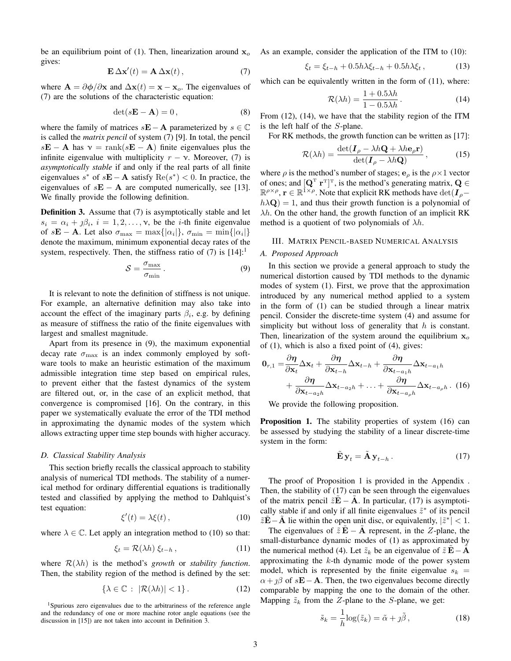be an equilibrium point of (1). Then, linearization around  $x_0$ gives:

$$
\mathbf{E}\,\Delta\mathbf{x}'(t) = \mathbf{A}\,\Delta\mathbf{x}(t)\,,\tag{7}
$$

where  $\mathbf{A} = \partial \phi / \partial \mathbf{x}$  and  $\Delta \mathbf{x}(t) = \mathbf{x} - \mathbf{x}_o$ . The eigenvalues of (7) are the solutions of the characteristic equation:

$$
\det(s\mathbf{E} - \mathbf{A}) = 0, \tag{8}
$$

where the family of matrices  $s\mathbf{E}-\mathbf{A}$  parameterized by  $s \in \mathbb{C}$ is called the *matrix pencil* of system (7) [9]. In total, the pencil  $s\mathbf{E} - \mathbf{A}$  has  $v = \text{rank}(s\mathbf{E} - \mathbf{A})$  finite eigenvalues plus the infinite eigenvalue with multiplicity  $r - \nu$ . Moreover, (7) is *asymptotically stable* if and only if the real parts of all finite eigenvalues  $s^*$  of  $s\mathbf{E} - \mathbf{A}$  satisfy  $\text{Re}(s^*) < 0$ . In practice, the eigenvalues of  $s\mathbf{E} - \mathbf{A}$  are computed numerically, see [13]. We finally provide the following definition.

Definition 3. Assume that (7) is asymptotically stable and let  $s_i = \alpha_i + \beta_i$ ,  $i = 1, 2, \dots, \gamma$ , be the *i*-th finite eigenvalue of  $s\mathbf{E} - \mathbf{A}$ . Let also  $\sigma_{\text{max}} = \max\{|\alpha_i|\}, \sigma_{\text{min}} = \min\{|\alpha_i|\}$ denote the maximum, minimum exponential decay rates of the system, respectively. Then, the stiffness ratio of  $(7)$  is  $[14]$ :<sup>1</sup>

$$
S = \frac{\sigma_{\text{max}}}{\sigma_{\text{min}}}.
$$
 (9)

It is relevant to note the definition of stiffness is not unique. For example, an alternative definition may also take into account the effect of the imaginary parts  $\beta_i$ , e.g. by defining as measure of stiffness the ratio of the finite eigenvalues with largest and smallest magnitude.

Apart from its presence in (9), the maximum exponential decay rate  $\sigma_{\text{max}}$  is an index commonly employed by software tools to make an heuristic estimation of the maximum admissible integration time step based on empirical rules, to prevent either that the fastest dynamics of the system are filtered out, or, in the case of an explicit method, that convergence is compromised [16]. On the contrary, in this paper we systematically evaluate the error of the TDI method in approximating the dynamic modes of the system which allows extracting upper time step bounds with higher accuracy.

## *D. Classical Stability Analysis*

This section briefly recalls the classical approach to stability analysis of numerical TDI methods. The stability of a numerical method for ordinary differential equations is traditionally tested and classified by applying the method to Dahlquist's test equation:

$$
\xi'(t) = \lambda \xi(t), \qquad (10)
$$

where  $\lambda \in \mathbb{C}$ . Let apply an integration method to (10) so that:

$$
\xi_t = \mathcal{R}(\lambda h) \, \xi_{t-h} \,, \tag{11}
$$

where  $\mathcal{R}(\lambda h)$  is the method's *growth* or *stability function*. Then, the stability region of the method is defined by the set:

$$
\{\lambda \in \mathbb{C} : |\mathcal{R}(\lambda h)| < 1\}.\tag{12}
$$

<sup>1</sup>Spurious zero eigenvalues due to the arbitrariness of the reference angle and the redundancy of one or more machine rotor angle equations (see the discussion in [15]) are not taken into account in Definition 3.

As an example, consider the application of the ITM to (10):

$$
\xi_t = \xi_{t-h} + 0.5h\lambda \xi_{t-h} + 0.5h\lambda \xi_t, \qquad (13)
$$

which can be equivalently written in the form of  $(11)$ , where:

$$
\mathcal{R}(\lambda h) = \frac{1 + 0.5\lambda h}{1 - 0.5\lambda h}.
$$
 (14)

From (12), (14), we have that the stability region of the ITM is the left half of the S-plane.

For RK methods, the growth function can be written as [17]:  
\n
$$
\mathcal{R}(\lambda h) = \frac{\det(\mathbf{I}_{\rho} - \lambda h \mathbf{Q} + \lambda h \mathbf{e}_{\rho} \mathbf{r})}{\det(\mathbf{I}_{\rho} - \lambda h \mathbf{Q})},
$$
\n(15)

where  $\rho$  is the method's number of stages;  $\mathbf{e}_{\rho}$  is the  $\rho \times 1$  vector of ones; and  $[Q^T r^T]^T$ , is the method's generating matrix,  $Q \in$  $\mathbb{R}^{\rho \times \rho}$ ,  $\mathbf{r} \in \mathbb{R}^{\mathbf{i} \times \rho}$ . Note that explicit RK methods have  $\det(\mathbf{I}_{\rho} - \mathbf{I}_{\rho})$  $h\lambda Q$ ) = 1, and thus their growth function is a polynomial of  $\lambda h$ . On the other hand, the growth function of an implicit RK method is a quotient of two polynomials of  $\lambda h$ .

#### III. MATRIX PENCIL-BASED NUMERICAL ANALYSIS

## *A. Proposed Approach*

In this section we provide a general approach to study the numerical distortion caused by TDI methods to the dynamic modes of system (1). First, we prove that the approximation introduced by any numerical method applied to a system in the form of (1) can be studied through a linear matrix pencil. Consider the discrete-time system (4) and assume for simplicity but without loss of generality that  $h$  is constant. Then, linearization of the system around the equilibrium  $x_0$ of (1), which is also a fixed point of (4), gives:

$$
\mathbf{0}_{r,1} = \frac{\partial \boldsymbol{\eta}}{\partial \mathbf{x}_t} \Delta \mathbf{x}_t + \frac{\partial \boldsymbol{\eta}}{\partial \mathbf{x}_{t-h}} \Delta \mathbf{x}_{t-h} + \frac{\partial \boldsymbol{\eta}}{\partial \mathbf{x}_{t-a_1 h}} \Delta \mathbf{x}_{t-a_1 h} + \frac{\partial \boldsymbol{\eta}}{\partial \mathbf{x}_{t-a_2 h}} \Delta \mathbf{x}_{t-a_2 h} + \ldots + \frac{\partial \boldsymbol{\eta}}{\partial \mathbf{x}_{t-a_\rho h}} \Delta \mathbf{x}_{t-a_\rho h}.
$$
 (16)

We provide the following proposition.

Proposition 1. The stability properties of system (16) can be assessed by studying the stability of a linear discrete-time system in the form:

$$
\tilde{\mathbf{E}}\,\mathbf{y}_t = \tilde{\mathbf{A}}\,\mathbf{y}_{t-h} \,. \tag{17}
$$

The proof of Proposition 1 is provided in the Appendix . Then, the stability of (17) can be seen through the eigenvalues of the matrix pencil  $\tilde{z}\mathbf{E} - \mathbf{A}$ . In particular, (17) is asymptotically stable if and only if all finite eigenvalues  $\tilde{z}^*$  of its pencil  $\tilde{z}\tilde{E} - \tilde{A}$  lie within the open unit disc, or equivalently,  $|\tilde{z}^*| < 1$ .

The eigenvalues of  $\tilde{z}E - A$  represent, in the Z-plane, the small-disturbance dynamic modes of (1) as approximated by the numerical method (4). Let  $\tilde{z}_k$  be an eigenvalue of  $\tilde{z} \mathbf{E} - \mathbf{A}$ approximating the  $k$ -th dynamic mode of the power system model, which is represented by the finite eigenvalue  $s_k$  =  $\alpha + \beta$  of s**E** − **A**. Then, the two eigenvalues become directly comparable by mapping the one to the domain of the other. Mapping  $\tilde{z}_k$  from the Z-plane to the S-plane, we get:

$$
\tilde{s}_k = \frac{1}{h} \log(\tilde{z}_k) = \tilde{\alpha} + j\tilde{\beta}, \qquad (18)
$$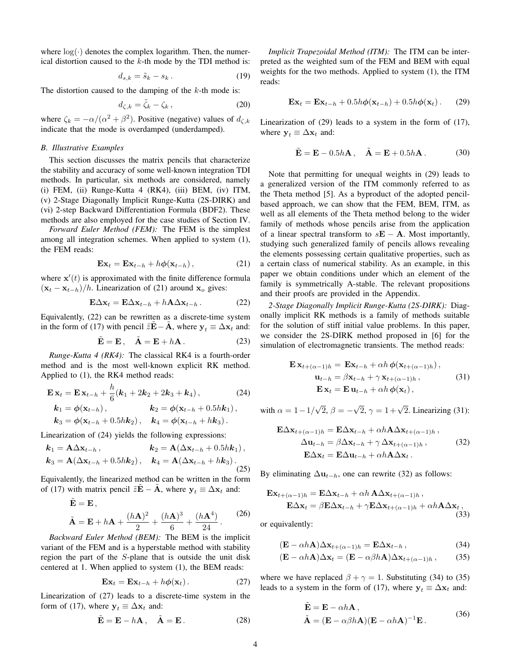where  $log(·)$  denotes the complex logarithm. Then, the numerical distortion caused to the  $k$ -th mode by the TDI method is:

$$
d_{s,k} = \tilde{s}_k - s_k. \tag{19}
$$

The distortion caused to the damping of the  $k$ -th mode is:

$$
d_{\zeta,k} = \tilde{\zeta}_k - \zeta_k, \qquad (20)
$$

where  $\zeta_k = -\alpha/(\alpha^2 + \beta^2)$ . Positive (negative) values of  $d_{\zeta,k}$ indicate that the mode is overdamped (underdamped).

# *B. Illustrative Examples*

This section discusses the matrix pencils that characterize the stability and accuracy of some well-known integration TDI methods. In particular, six methods are considered, namely (i) FEM, (ii) Runge-Kutta 4 (RK4), (iii) BEM, (iv) ITM, (v) 2-Stage Diagonally Implicit Runge-Kutta (2S-DIRK) and (vi) 2-step Backward Differentiation Formula (BDF2). These methods are also employed for the case studies of Section IV.

*Forward Euler Method (FEM):* The FEM is the simplest among all integration schemes. When applied to system (1), the FEM reads:

$$
\mathbf{Ex}_t = \mathbf{Ex}_{t-h} + h\phi(\mathbf{x}_{t-h}), \qquad (21)
$$

where  $\mathbf{x}'(t)$  is approximated with the finite difference formula  $(\mathbf{x}_t - \mathbf{x}_{t-h})/h$ . Linearization of (21) around  $\mathbf{x}_o$  gives:

$$
\mathbf{E}\Delta\mathbf{x}_t = \mathbf{E}\Delta\mathbf{x}_{t-h} + h\mathbf{A}\Delta\mathbf{x}_{t-h} \,. \tag{22}
$$

Equivalently, (22) can be rewritten as a discrete-time system in the form of (17) with pencil  $\tilde{z}\mathbf{E} - \mathbf{A}$ , where  $y_t \equiv \Delta x_t$  and:

$$
\tilde{\mathbf{E}} = \mathbf{E}, \quad \tilde{\mathbf{A}} = \mathbf{E} + h\mathbf{A}. \tag{23}
$$

*Runge-Kutta 4 (RK4):* The classical RK4 is a fourth-order method and is the most well-known explicit RK method. Applied to (1), the RK4 method reads:

$$
\mathbf{E} \mathbf{x}_t = \mathbf{E} \mathbf{x}_{t-h} + \frac{h}{6} (\mathbf{k}_1 + 2\mathbf{k}_2 + 2\mathbf{k}_3 + \mathbf{k}_4),
$$
 (24)  
\n
$$
\mathbf{k}_1 = \phi(\mathbf{x}_{t-h}),
$$
 
$$
\mathbf{k}_2 = \phi(\mathbf{x}_{t-h} + 0.5h\mathbf{k}_1),
$$
  
\n
$$
\mathbf{k}_3 = \phi(\mathbf{x}_{t-h} + 0.5h\mathbf{k}_2),
$$
 
$$
\mathbf{k}_4 = \phi(\mathbf{x}_{t-h} + hk_3).
$$

Linearization of (24) yields the following expressions:

$$
\mathbf{k}_1 = \mathbf{A}\Delta\mathbf{x}_{t-h}, \qquad \mathbf{k}_2 = \mathbf{A}(\Delta\mathbf{x}_{t-h} + 0.5h\mathbf{k}_1),
$$
  

$$
\mathbf{k}_3 = \mathbf{A}(\Delta\mathbf{x}_{t-h} + 0.5h\mathbf{k}_2), \quad \mathbf{k}_4 = \mathbf{A}(\Delta\mathbf{x}_{t-h} + h\mathbf{k}_3).
$$
 (25)

Equivalently, the linearized method can be written in the form of (17) with matrix pencil  $\tilde{z}E - A$ , where  $y_t \equiv \Delta x_t$  and:

$$
\tilde{\mathbf{E}} = \mathbf{E},
$$
\n
$$
\tilde{\mathbf{A}} = \mathbf{E} + h\mathbf{A} + \frac{(h\mathbf{A})^2}{2} + \frac{(h\mathbf{A})^3}{6} + \frac{(h\mathbf{A}^4)}{24}.
$$
\n(26)

*Backward Euler Method (BEM):* The BEM is the implicit variant of the FEM and is a hyperstable method with stability region the part of the S-plane that is outside the unit disk centered at 1. When applied to system (1), the BEM reads:

$$
\mathbf{Ex}_t = \mathbf{Ex}_{t-h} + h\phi(\mathbf{x}_t). \tag{27}
$$

Linearization of (27) leads to a discrete-time system in the form of (17), where  $y_t \equiv \Delta x_t$  and:

$$
\tilde{\mathbf{E}} = \mathbf{E} - h\mathbf{A}, \quad \tilde{\mathbf{A}} = \mathbf{E}. \tag{28}
$$

*Implicit Trapezoidal Method (ITM):* The ITM can be interpreted as the weighted sum of the FEM and BEM with equal weights for the two methods. Applied to system (1), the ITM reads:

$$
\mathbf{Ex}_t = \mathbf{Ex}_{t-h} + 0.5h\phi(\mathbf{x}_{t-h}) + 0.5h\phi(\mathbf{x}_t).
$$
 (29)

Linearization of (29) leads to a system in the form of (17), where  $y_t \equiv \Delta x_t$  and:

$$
\tilde{\mathbf{E}} = \mathbf{E} - 0.5h\mathbf{A}, \quad \tilde{\mathbf{A}} = \mathbf{E} + 0.5h\mathbf{A}. \tag{30}
$$

Note that permitting for unequal weights in (29) leads to a generalized version of the ITM commonly referred to as the Theta method [5]. As a byproduct of the adopted pencilbased approach, we can show that the FEM, BEM, ITM, as well as all elements of the Theta method belong to the wider family of methods whose pencils arise from the application of a linear spectral transform to  $sE - A$ . Most importantly, studying such generalized family of pencils allows revealing the elements possessing certain qualitative properties, such as a certain class of numerical stability. As an example, in this paper we obtain conditions under which an element of the family is symmetrically A-stable. The relevant propositions and their proofs are provided in the Appendix.

*2-Stage Diagonally Implicit Runge-Kutta (2S-DIRK):* Diagonally implicit RK methods is a family of methods suitable for the solution of stiff initial value problems. In this paper, we consider the 2S-DIRK method proposed in [6] for the simulation of electromagnetic transients. The method reads:

$$
\mathbf{E} \mathbf{x}_{t+(\alpha-1)h} = \mathbf{E} \mathbf{x}_{t-h} + \alpha h \phi(\mathbf{x}_{t+(\alpha-1)h}),
$$
  
\n
$$
\mathbf{u}_{t-h} = \beta \mathbf{x}_{t-h} + \gamma \mathbf{x}_{t+(\alpha-1)h},
$$
  
\n
$$
\mathbf{E} \mathbf{x}_t = \mathbf{E} \mathbf{u}_{t-h} + \alpha h \phi(\mathbf{x}_t),
$$
\n(31)

with  $\alpha = 1 - 1/\sqrt{2}$ ,  $\beta = -\sqrt{2}$ ,  $\gamma = 1 + \sqrt{2}$ . Linearizing (31):

$$
\mathbf{E}\Delta\mathbf{x}_{t+(\alpha-1)h} = \mathbf{E}\Delta\mathbf{x}_{t-h} + \alpha h \mathbf{A}\Delta\mathbf{x}_{t+(\alpha-1)h},
$$
  
\n
$$
\Delta\mathbf{u}_{t-h} = \beta \Delta\mathbf{x}_{t-h} + \gamma \Delta\mathbf{x}_{t+(\alpha-1)h},
$$
  
\n
$$
\mathbf{E}\Delta\mathbf{x}_{t} = \mathbf{E}\Delta\mathbf{u}_{t-h} + \alpha h \mathbf{A}\Delta\mathbf{x}_{t}.
$$
\n(32)

By eliminating  $\Delta u_{t-h}$ , one can rewrite (32) as follows:

$$
\mathbf{Ex}_{t+(\alpha-1)h} = \mathbf{E}\Delta\mathbf{x}_{t-h} + \alpha h \mathbf{A}\Delta\mathbf{x}_{t+(\alpha-1)h},
$$
  
\n
$$
\mathbf{E}\Delta\mathbf{x}_t = \beta \mathbf{E}\Delta\mathbf{x}_{t-h} + \gamma \mathbf{E}\Delta\mathbf{x}_{t+(\alpha-1)h} + \alpha h \mathbf{A}\Delta\mathbf{x}_t,
$$
\n(33)

or equivalently:

$$
(\mathbf{E} - \alpha h \mathbf{A}) \Delta \mathbf{x}_{t + (\alpha - 1)h} = \mathbf{E} \Delta \mathbf{x}_{t - h},
$$
\n(34)

$$
(\mathbf{E} - \alpha h \mathbf{A}) \Delta \mathbf{x}_t = (\mathbf{E} - \alpha \beta h \mathbf{A}) \Delta \mathbf{x}_{t + (\alpha - 1)h}, \quad (35)
$$

where we have replaced  $\beta + \gamma = 1$ . Substituting (34) to (35) leads to a system in the form of (17), where  $y_t \equiv \Delta x_t$  and:

$$
\tilde{\mathbf{E}} = \mathbf{E} - \alpha h \mathbf{A}, \n\tilde{\mathbf{A}} = (\mathbf{E} - \alpha \beta h \mathbf{A})(\mathbf{E} - \alpha h \mathbf{A})^{-1} \mathbf{E}.
$$
\n(36)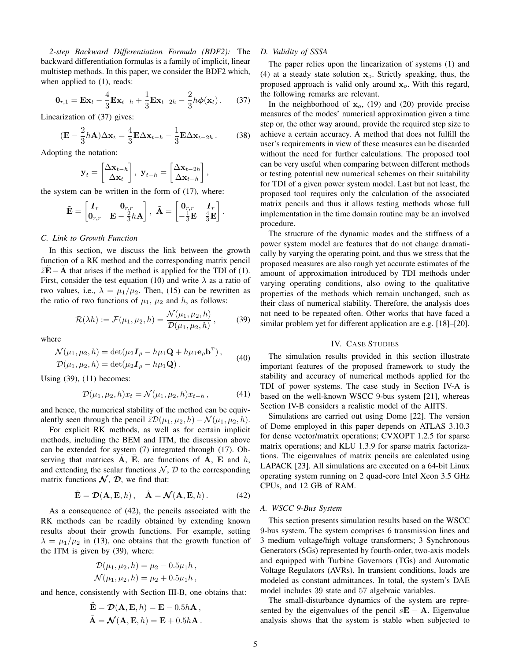*2-step Backward Differentiation Formula (BDF2):* The backward differentiation formulas is a family of implicit, linear multistep methods. In this paper, we consider the BDF2 which, when applied to  $(1)$ , reads:

$$
\mathbf{0}_{r,1} = \mathbf{E}\mathbf{x}_t - \frac{4}{3}\mathbf{E}\mathbf{x}_{t-h} + \frac{1}{3}\mathbf{E}\mathbf{x}_{t-2h} - \frac{2}{3}h\phi(\mathbf{x}_t).
$$
 (37)

Linearization of (37) gives:

$$
(\mathbf{E} - \frac{2}{3}h\mathbf{A})\Delta \mathbf{x}_t = \frac{4}{3}\mathbf{E}\Delta \mathbf{x}_{t-h} - \frac{1}{3}\mathbf{E}\Delta \mathbf{x}_{t-2h}.
$$
 (38)

Adopting the notation:

$$
\mathbf{y}_t = \begin{bmatrix} \Delta \mathbf{x}_{t-h} \\ \Delta \mathbf{x}_t \end{bmatrix}, \ \mathbf{y}_{t-h} = \begin{bmatrix} \Delta \mathbf{x}_{t-2h} \\ \Delta \mathbf{x}_{t-h} \end{bmatrix},
$$

the system can be written in the form of (17), where:

$$
\tilde{\mathbf{E}} = \begin{bmatrix} \boldsymbol{I}_r & \mathbf{0}_{r,r} \\ \mathbf{0}_{r,r} & \mathbf{E} - \frac{2}{3}h\mathbf{A} \end{bmatrix}, \ \tilde{\mathbf{A}} = \begin{bmatrix} \mathbf{0}_{r,r} & \boldsymbol{I}_r \\ -\frac{1}{3}\mathbf{E} & \frac{4}{3}\mathbf{E} \end{bmatrix}
$$

.

## *C. Link to Growth Function*

In this section, we discuss the link between the growth function of a RK method and the corresponding matrix pencil  $\tilde{z}E - A$  that arises if the method is applied for the TDI of (1). First, consider the test equation (10) and write  $\lambda$  as a ratio of two values, i.e.,  $\lambda = \mu_1/\mu_2$ . Then, (15) can be rewritten as the ratio of two functions of  $\mu_1$ ,  $\mu_2$  and h, as follows:

$$
\mathcal{R}(\lambda h) := \mathcal{F}(\mu_1, \mu_2, h) = \frac{\mathcal{N}(\mu_1, \mu_2, h)}{\mathcal{D}(\mu_1, \mu_2, h)},
$$
(39)

where

$$
\mathcal{N}(\mu_1, \mu_2, h) = \det(\mu_2 \mathbf{I}_{\rho} - h\mu_1 \mathbf{Q} + h\mu_1 \mathbf{e}_{\rho} \mathbf{b}^{\mathrm{T}}),
$$
  
 
$$
\mathcal{D}(\mu_1, \mu_2, h) = \det(\mu_2 \mathbf{I}_{\rho} - h\mu_1 \mathbf{Q}).
$$
 (40)

Using (39), (11) becomes:

$$
\mathcal{D}(\mu_1, \mu_2, h)x_t = \mathcal{N}(\mu_1, \mu_2, h)x_{t-h}, \tag{41}
$$

and hence, the numerical stability of the method can be equivalently seen through the pencil  $\tilde{z}\mathcal{D}(\mu_1, \mu_2, h) - \mathcal{N}(\mu_1, \mu_2, h)$ .

For explicit RK methods, as well as for certain implicit methods, including the BEM and ITM, the discussion above can be extended for system (7) integrated through (17). Observing that matrices  $A$ , E, are functions of  $A$ , E and  $h$ , and extending the scalar functions  $N$ ,  $D$  to the corresponding matrix functions  $\mathcal{N}, \mathcal{D}$ , we find that:

$$
\tilde{\mathbf{E}} = \mathcal{D}(\mathbf{A}, \mathbf{E}, h), \quad \tilde{\mathbf{A}} = \mathcal{N}(\mathbf{A}, \mathbf{E}, h).
$$
 (42)

As a consequence of (42), the pencils associated with the RK methods can be readily obtained by extending known results about their growth functions. For example, setting  $\lambda = \mu_1/\mu_2$  in (13), one obtains that the growth function of the ITM is given by (39), where:

$$
\mathcal{D}(\mu_1, \mu_2, h) = \mu_2 - 0.5\mu_1 h ,
$$
  
 
$$
\mathcal{N}(\mu_1, \mu_2, h) = \mu_2 + 0.5\mu_1 h ,
$$

and hence, consistently with Section III-B, one obtains that:

$$
\tilde{\mathbf{E}} = \mathcal{D}(\mathbf{A}, \mathbf{E}, h) = \mathbf{E} - 0.5h\mathbf{A},
$$
  

$$
\tilde{\mathbf{A}} = \mathcal{N}(\mathbf{A}, \mathbf{E}, h) = \mathbf{E} + 0.5h\mathbf{A}.
$$

#### *D. Validity of SSSA*

The paper relies upon the linearization of systems (1) and (4) at a steady state solution  $x_0$ . Strictly speaking, thus, the proposed approach is valid only around  $x<sub>o</sub>$ . With this regard, the following remarks are relevant.

In the neighborhood of  $x_0$ , (19) and (20) provide precise measures of the modes' numerical approximation given a time step or, the other way around, provide the required step size to achieve a certain accuracy. A method that does not fulfill the user's requirements in view of these measures can be discarded without the need for further calculations. The proposed tool can be very useful when comparing between different methods or testing potential new numerical schemes on their suitability for TDI of a given power system model. Last but not least, the proposed tool requires only the calculation of the associated matrix pencils and thus it allows testing methods whose full implementation in the time domain routine may be an involved procedure.

The structure of the dynamic modes and the stiffness of a power system model are features that do not change dramatically by varying the operating point, and thus we stress that the proposed measures are also rough yet accurate estimates of the amount of approximation introduced by TDI methods under varying operating conditions, also owing to the qualitative properties of the methods which remain unchanged, such as their class of numerical stability. Therefore, the analysis does not need to be repeated often. Other works that have faced a similar problem yet for different application are e.g. [18]–[20].

#### IV. CASE STUDIES

The simulation results provided in this section illustrate important features of the proposed framework to study the stability and accuracy of numerical methods applied for the TDI of power systems. The case study in Section IV-A is based on the well-known WSCC 9-bus system [21], whereas Section IV-B considers a realistic model of the AIITS.

Simulations are carried out using Dome [22]. The version of Dome employed in this paper depends on ATLAS 3.10.3 for dense vector/matrix operations; CVXOPT 1.2.5 for sparse matrix operations; and KLU 1.3.9 for sparse matrix factorizations. The eigenvalues of matrix pencils are calculated using LAPACK [23]. All simulations are executed on a 64-bit Linux operating system running on 2 quad-core Intel Xeon 3.5 GHz CPUs, and 12 GB of RAM.

## *A. WSCC 9-Bus System*

This section presents simulation results based on the WSCC 9-bus system. The system comprises 6 transmission lines and 3 medium voltage/high voltage transformers; 3 Synchronous Generators (SGs) represented by fourth-order, two-axis models and equipped with Turbine Governors (TGs) and Automatic Voltage Regulators (AVRs). In transient conditions, loads are modeled as constant admittances. In total, the system's DAE model includes 39 state and 57 algebraic variables.

The small-disturbance dynamics of the system are represented by the eigenvalues of the pencil  $sE - A$ . Eigenvalue analysis shows that the system is stable when subjected to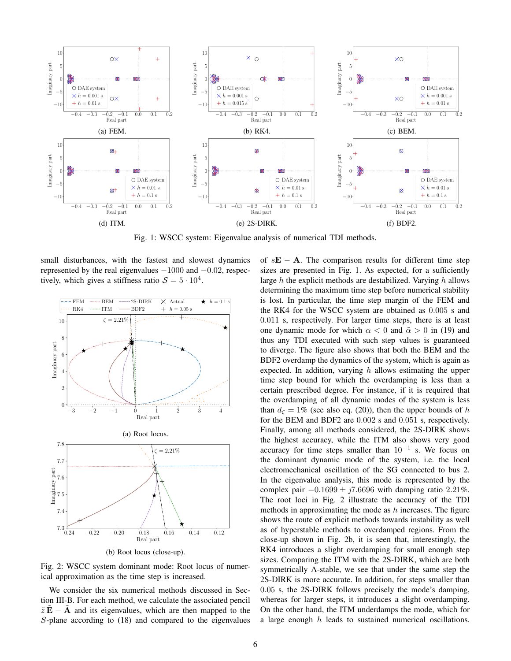

Fig. 1: WSCC system: Eigenvalue analysis of numerical TDI methods.

small disturbances, with the fastest and slowest dynamics represented by the real eigenvalues  $-1000$  and  $-0.02$ , respectively, which gives a stiffness ratio  $S = 5 \cdot 10^4$ .



Fig. 2: WSCC system dominant mode: Root locus of numerical approximation as the time step is increased.

We consider the six numerical methods discussed in Section III-B. For each method, we calculate the associated pencil  $\tilde{z}\tilde{E} - \tilde{A}$  and its eigenvalues, which are then mapped to the S-plane according to (18) and compared to the eigenvalues of  $sE - A$ . The comparison results for different time step sizes are presented in Fig. 1. As expected, for a sufficiently large  $h$  the explicit methods are destabilized. Varying  $h$  allows determining the maximum time step before numerical stability is lost. In particular, the time step margin of the FEM and the RK4 for the WSCC system are obtained as 0.005 s and 0.011 s, respectively. For larger time steps, there is at least one dynamic mode for which  $\alpha < 0$  and  $\tilde{\alpha} > 0$  in (19) and thus any TDI executed with such step values is guaranteed to diverge. The figure also shows that both the BEM and the BDF2 overdamp the dynamics of the system, which is again as expected. In addition, varying  $h$  allows estimating the upper time step bound for which the overdamping is less than a certain prescribed degree. For instance, if it is required that the overdamping of all dynamic modes of the system is less than  $d_{\zeta} = 1\%$  (see also eq. (20)), then the upper bounds of h for the BEM and BDF2 are 0.002 s and 0.051 s, respectively. Finally, among all methods considered, the 2S-DIRK shows the highest accuracy, while the ITM also shows very good accuracy for time steps smaller than  $10^{-1}$  s. We focus on the dominant dynamic mode of the system, i.e. the local electromechanical oscillation of the SG connected to bus 2. In the eigenvalue analysis, this mode is represented by the complex pair  $-0.1699 \pm 0.70696$  with damping ratio 2.21%. The root loci in Fig. 2 illustrate the accuracy of the TDI methods in approximating the mode as  $h$  increases. The figure shows the route of explicit methods towards instability as well as of hyperstable methods to overdamped regions. From the close-up shown in Fig. 2b, it is seen that, interestingly, the RK4 introduces a slight overdamping for small enough step sizes. Comparing the ITM with the 2S-DIRK, which are both symmetrically A-stable, we see that under the same step the 2S-DIRK is more accurate. In addition, for steps smaller than 0.05 s, the 2S-DIRK follows precisely the mode's damping, whereas for larger steps, it introduces a slight overdamping. On the other hand, the ITM underdamps the mode, which for a large enough h leads to sustained numerical oscillations.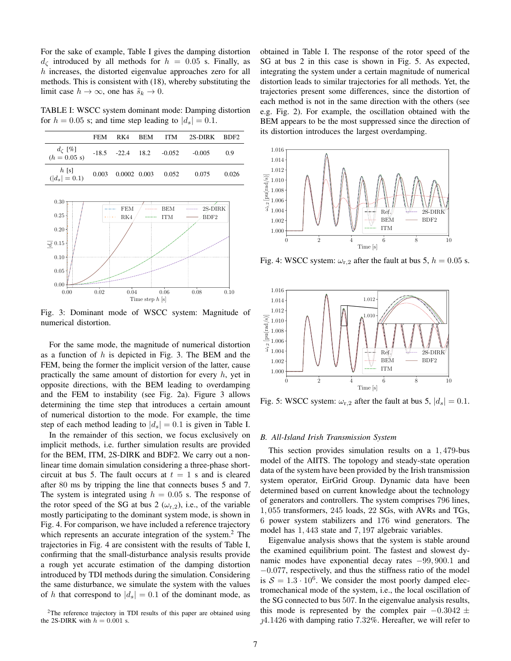For the sake of example, Table I gives the damping distortion  $d_{\zeta}$  introduced by all methods for  $h = 0.05$  s. Finally, as h increases, the distorted eigenvalue approaches zero for all methods. This is consistent with (18), whereby substituting the limit case  $h \to \infty$ , one has  $\tilde{s}_k \to 0$ .

TABLE I: WSCC system dominant mode: Damping distortion for  $h = 0.05$  s; and time step leading to  $|d_s| = 0.1$ .

|                                      | <b>FEM</b> | RK4 |                                          | BEM ITM 2S-DIRK BDF2 |       |
|--------------------------------------|------------|-----|------------------------------------------|----------------------|-------|
| $d_{\zeta}$ [%]<br>(h = 0.05 s)      |            |     | $-18.5$ $-22.4$ $18.2$ $-0.052$ $-0.005$ |                      | 0.9   |
| $h$ [s]<br>( d <sub>s</sub>   = 0.1) |            |     | $0.003$ $0.0002$ $0.003$ $0.052$         | 0.075                | 0.026 |



Fig. 3: Dominant mode of WSCC system: Magnitude of numerical distortion.

For the same mode, the magnitude of numerical distortion as a function of  $h$  is depicted in Fig. 3. The BEM and the FEM, being the former the implicit version of the latter, cause practically the same amount of distortion for every  $h$ , yet in opposite directions, with the BEM leading to overdamping and the FEM to instability (see Fig. 2a). Figure 3 allows determining the time step that introduces a certain amount of numerical distortion to the mode. For example, the time step of each method leading to  $|d_s| = 0.1$  is given in Table I.

In the remainder of this section, we focus exclusively on implicit methods, i.e. further simulation results are provided for the BEM, ITM, 2S-DIRK and BDF2. We carry out a nonlinear time domain simulation considering a three-phase shortcircuit at bus 5. The fault occurs at  $t = 1$  s and is cleared after 80 ms by tripping the line that connects buses 5 and 7. The system is integrated using  $h = 0.05$  s. The response of the rotor speed of the SG at bus 2 ( $\omega_{r,2}$ ), i.e., of the variable mostly participating to the dominant system mode, is shown in Fig. 4. For comparison, we have included a reference trajectory which represents an accurate integration of the system. $2$  The trajectories in Fig. 4 are consistent with the results of Table I, confirming that the small-disturbance analysis results provide a rough yet accurate estimation of the damping distortion introduced by TDI methods during the simulation. Considering the same disturbance, we simulate the system with the values of h that correspond to  $|d_s| = 0.1$  of the dominant mode, as obtained in Table I. The response of the rotor speed of the SG at bus 2 in this case is shown in Fig. 5. As expected, integrating the system under a certain magnitude of numerical distortion leads to similar trajectories for all methods. Yet, the trajectories present some differences, since the distortion of each method is not in the same direction with the others (see e.g. Fig. 2). For example, the oscillation obtained with the BEM appears to be the most suppressed since the direction of its distortion introduces the largest overdamping.



Fig. 4: WSCC system:  $\omega_{r,2}$  after the fault at bus 5,  $h = 0.05$  s.



Fig. 5: WSCC system:  $\omega_{r,2}$  after the fault at bus 5,  $|d_s| = 0.1$ .

#### *B. All-Island Irish Transmission System*

This section provides simulation results on a 1, 479-bus model of the AIITS. The topology and steady-state operation data of the system have been provided by the Irish transmission system operator, EirGrid Group. Dynamic data have been determined based on current knowledge about the technology of generators and controllers. The system comprises 796 lines, 1, 055 transformers, 245 loads, 22 SGs, with AVRs and TGs, 6 power system stabilizers and 176 wind generators. The model has 1, 443 state and 7, 197 algebraic variables.

Eigenvalue analysis shows that the system is stable around the examined equilibrium point. The fastest and slowest dynamic modes have exponential decay rates −99, 900.1 and −0.077, respectively, and thus the stiffness ratio of the model is  $S = 1.3 \cdot 10^6$ . We consider the most poorly damped electromechanical mode of the system, i.e., the local oscillation of the SG connected to bus 507. In the eigenvalue analysis results, this mode is represented by the complex pair  $-0.3042 \pm$  $14.1426$  with damping ratio 7.32%. Hereafter, we will refer to

 $2$ The reference trajectory in TDI results of this paper are obtained using the 2S-DIRK with  $h = 0.001$  s.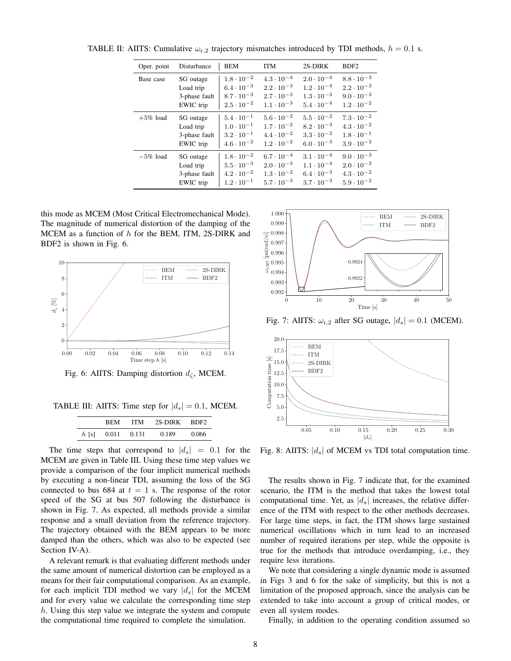| Oper. point | Disturbance   | <b>BEM</b>          | ITM                 | 2S-DIRK             | BDF <sub>2</sub>    |
|-------------|---------------|---------------------|---------------------|---------------------|---------------------|
| Base case   | SG outage     | $1.8 \cdot 10^{-2}$ | $4.3 \cdot 10^{-4}$ | $2.0 \cdot 10^{-4}$ | $8.8 \cdot 10^{-3}$ |
|             | Load trip     | $6.4 \cdot 10^{-3}$ | $2.2 \cdot 10^{-3}$ | $1.2 \cdot 10^{-4}$ | $2.2 \cdot 10^{-3}$ |
|             | 3-phase fault | $8.7 \cdot 10^{-3}$ | $2.7 \cdot 10^{-3}$ | $1.3 \cdot 10^{-3}$ | $9.0 \cdot 10^{-3}$ |
|             | EWIC trip     | $2.5 \cdot 10^{-2}$ | $1.1 \cdot 10^{-3}$ | $5.4 \cdot 10^{-4}$ | $1.2 \cdot 10^{-2}$ |
| $+5\%$ load | SG outage     | $5.4 \cdot 10^{-1}$ | $5.6 \cdot 10^{-2}$ | $5.5 \cdot 10^{-2}$ | $7.3 \cdot 10^{-2}$ |
|             | Load trip     | $1.0 \cdot 10^{-1}$ | $1.7 \cdot 10^{-2}$ | $8.2 \cdot 10^{-3}$ | $4.3 \cdot 10^{-2}$ |
|             | 3-phase fault | $3.2 \cdot 10^{-1}$ | $4.4 \cdot 10^{-2}$ | $3.3 \cdot 10^{-2}$ | $1.8 \cdot 10^{-1}$ |
|             | EWIC trip     | $4.6 \cdot 10^{-2}$ | $1.2 \cdot 10^{-2}$ | $6.0 \cdot 10^{-3}$ | $3.9 \cdot 10^{-2}$ |
| $-5\%$ load | SG outage     | $1.8 \cdot 10^{-2}$ | $6.7 \cdot 10^{-4}$ | $3.1 \cdot 10^{-4}$ | $9.0 \cdot 10^{-3}$ |
|             | Load trip     | $5.5 \cdot 10^{-3}$ | $2.0 \cdot 10^{-3}$ | $1.1 \cdot 10^{-4}$ | $2.0 \cdot 10^{-3}$ |
|             | 3-phase fault | $4.2 \cdot 10^{-2}$ | $1.3 \cdot 10^{-2}$ | $6.4 \cdot 10^{-3}$ | $4.3 \cdot 10^{-2}$ |
|             | EWIC trip     | $1.2 \cdot 10^{-1}$ | $5.7 \cdot 10^{-3}$ | $3.7 \cdot 10^{-3}$ | $5.9 \cdot 10^{-2}$ |

TABLE II: AIITS: Cumulative  $\omega_{r,2}$  trajectory mismatches introduced by TDI methods,  $h = 0.1$  s.

this mode as MCEM (Most Critical Electromechanical Mode). The magnitude of numerical distortion of the damping of the MCEM as a function of  $h$  for the BEM, ITM, 2S-DIRK and BDF2 is shown in Fig. 6.



Fig. 6: AIITS: Damping distortion  $d_{\zeta}$ , MCEM.

TABLE III: AIITS: Time step for  $|d_s| = 0.1$ , MCEM.

|         | <b>REM</b> | ITM   | 2S-DIRK | – BDF2 |
|---------|------------|-------|---------|--------|
| $h$ [s] | 0.011      | 0.131 | 0.189   | 0.066  |

The time steps that correspond to  $|d_s| = 0.1$  for the MCEM are given in Table III. Using these time step values we provide a comparison of the four implicit numerical methods by executing a non-linear TDI, assuming the loss of the SG connected to bus 684 at  $t = 1$  s. The response of the rotor speed of the SG at bus 507 following the disturbance is shown in Fig. 7. As expected, all methods provide a similar response and a small deviation from the reference trajectory. The trajectory obtained with the BEM appears to be more damped than the others, which was also to be expected (see Section IV-A).

A relevant remark is that evaluating different methods under the same amount of numerical distortion can be employed as a means for their fair computational comparison. As an example, for each implicit TDI method we vary  $|d_s|$  for the MCEM and for every value we calculate the corresponding time step  $h$ . Using this step value we integrate the system and compute the computational time required to complete the simulation.



Fig. 7: AIITS:  $\omega_{r,2}$  after SG outage,  $|d_s| = 0.1$  (MCEM).



Fig. 8: AIITS:  $|d_s|$  of MCEM vs TDI total computation time.

The results shown in Fig. 7 indicate that, for the examined scenario, the ITM is the method that takes the lowest total computational time. Yet, as  $|d_s|$  increases, the relative difference of the ITM with respect to the other methods decreases. For large time steps, in fact, the ITM shows large sustained numerical oscillations which in turn lead to an increased number of required iterations per step, while the opposite is true for the methods that introduce overdamping, i.e., they require less iterations.

We note that considering a single dynamic mode is assumed in Figs 3 and 6 for the sake of simplicity, but this is not a limitation of the proposed approach, since the analysis can be extended to take into account a group of critical modes, or even all system modes.

Finally, in addition to the operating condition assumed so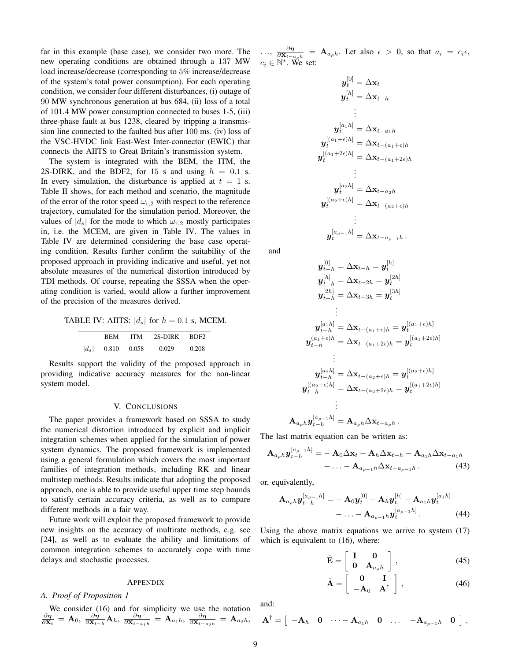far in this example (base case), we consider two more. The new operating conditions are obtained through a 137 MW load increase/decrease (corresponding to 5% increase/decrease of the system's total power consumption). For each operating condition, we consider four different disturbances, (i) outage of 90 MW synchronous generation at bus 684, (ii) loss of a total of 101.4 MW power consumption connected to buses 1-5, (iii) three-phase fault at bus 1238, cleared by tripping a transmission line connected to the faulted bus after 100 ms. (iv) loss of the VSC-HVDC link East-West Inter-connector (EWIC) that connects the AIITS to Great Britain's transmission system.

The system is integrated with the BEM, the ITM, the 2S-DIRK, and the BDF2, for 15 s and using  $h = 0.1$  s. In every simulation, the disturbance is applied at  $t = 1$  s. Table II shows, for each method and scenario, the magnitude of the error of the rotor speed  $\omega_{r,2}$  with respect to the reference trajectory, cumulated for the simulation period. Moreover, the values of  $|d_s|$  for the mode to which  $\omega_{r,2}$  mostly participates in, i.e. the MCEM, are given in Table IV. The values in Table IV are determined considering the base case operating condition. Results further confirm the suitability of the proposed approach in providing indicative and useful, yet not absolute measures of the numerical distortion introduced by TDI methods. Of course, repeating the SSSA when the operating condition is varied, would allow a further improvement of the precision of the measures derived.

TABLE IV: AIITS:  $|d_s|$  for  $h = 0.1$  s, MCEM.

|         | <b>REM</b> | ITM   | 2S-DIRK BDF2 |       |
|---------|------------|-------|--------------|-------|
| $ d_s $ | 0.810      | 0.058 | 0.029        | 0.208 |

Results support the validity of the proposed approach in providing indicative accuracy measures for the non-linear system model.

# V. CONCLUSIONS

The paper provides a framework based on SSSA to study the numerical distortion introduced by explicit and implicit integration schemes when applied for the simulation of power system dynamics. The proposed framework is implemented using a general formulation which covers the most important families of integration methods, including RK and linear multistep methods. Results indicate that adopting the proposed approach, one is able to provide useful upper time step bounds to satisfy certain accuracy criteria, as well as to compare different methods in a fair way.

Future work will exploit the proposed framework to provide new insights on the accuracy of multirate methods, e.g. see [24], as well as to evaluate the ability and limitations of common integration schemes to accurately cope with time delays and stochastic processes.

#### APPENDIX

# *A. Proof of Proposition 1*

We consider (16) and for simplicity we use the notation  $\frac{\partial \eta}{\partial \mathbf{x}_t} = \mathbf{A}_0$ ,  $\frac{\partial \eta}{\partial \mathbf{x}_{t-h}} \mathbf{A}_h$ ,  $\frac{\partial \eta}{\partial \mathbf{x}_{t-a_1h}} = \mathbf{A}_{a_1h}$ ,  $\frac{\partial \eta}{\partial \mathbf{x}_{t-a_2h}} = \mathbf{A}_{a_2h}$ ,

 $\ldots$ ,  $\frac{\partial \eta}{\partial \mathbf{X}_{t-a} \rho h} = \mathbf{A}_{a}$ , Let also  $\epsilon > 0$ , so that  $a_i = c_i \epsilon$ ,  $c_i \in \mathbb{N}^*$ . We set:

$$
\begin{aligned} \boldsymbol{y}_t^{[0]}&=\Delta\mathbf{x}_t\\ \boldsymbol{y}_t^{[h]}&=\Delta\mathbf{x}_{t-h}\\ &\vdots\\ \boldsymbol{y}_t^{[a_1h]}&=\Delta\mathbf{x}_{t-a_1h}\\ \boldsymbol{y}_t^{[(a_1+\epsilon)h]}&=\Delta\mathbf{x}_{t-(a_1+\epsilon)h}\\ \boldsymbol{y}_t^{[(a_1+2\epsilon)h]}&=\Delta\mathbf{x}_{t-(a_1+2\epsilon)h}\\ &\vdots\\ \boldsymbol{y}_t^{[a_2h]}&=\Delta\mathbf{x}_{t-a_2h}\\ \boldsymbol{y}_t^{[(a_2+\epsilon)h]}&=\Delta\mathbf{x}_{t-(a_2+\epsilon)h}\\ &\vdots\\ \boldsymbol{y}_t^{[a_{\rho-1}h]}&=\Delta\mathbf{x}_{t-a_{\rho-1}h}\,. \end{aligned}
$$

and

$$
\begin{aligned} \bm{y}^{[0]}_{t-h} &= \Delta \mathbf{x}_{t-h} = \bm{y}^{[h]}_{t} \\ \bm{y}^{[h]}_{t-h} &= \Delta \mathbf{x}_{t-2h} = \bm{y}^{[2h]}_{t} \\ \bm{y}^{[2h]}_{t-h} &= \Delta \mathbf{x}_{t-3h} = \bm{y}^{[3h]}_{t} \\ & \vdots \\ \bm{y}^{[a_1h]}_{t-h} &= \Delta \mathbf{x}_{t-(a_1+\epsilon)h} = \bm{y}^{[(a_1+\epsilon)h]}_{t} \\ \bm{y}^{(a_1+\epsilon)h}_{t-h} &= \Delta \mathbf{x}_{t-(a_1+2\epsilon)h} = \bm{y}^{[(a_1+2\epsilon)h]}_{t} \\ & \vdots \\ \bm{y}^{[a_2h]}_{t-h} &= \Delta \mathbf{x}_{t-(a_2+\epsilon)h} = \bm{y}^{[(a_2+\epsilon)h]}_{t} \\ \bm{y}^{[(a_2+\epsilon)h]}_{t-h} &= \Delta \mathbf{x}_{t-(a_2+2\epsilon)h} = \bm{y}^{[(a_1+2\epsilon)h]}_{t} \\ & \vdots \\ \mathbf{A}_{a_\rho h} \bm{y}^{[a_{\rho-1} h]}_{t-h} &= \mathbf{A}_{a_\rho h} \Delta \mathbf{x}_{t-a_\rho h} \, . \end{aligned}
$$

The last matrix equation can be written as:

$$
\mathbf{A}_{a_{\rho}h}\mathbf{y}_{t-h}^{[a_{\rho-1}h]} = -\mathbf{A}_0 \Delta \mathbf{x}_t - \mathbf{A}_h \Delta \mathbf{x}_{t-h} - \mathbf{A}_{a_1h} \Delta \mathbf{x}_{t-a_1h} - \dots - \mathbf{A}_{a_{\rho-1}h} \Delta \mathbf{x}_{t-a_{\rho-1}h}.
$$
\n(43)

or, equivalently,

$$
\mathbf{A}_{a_{\rho}h} \mathbf{y}_{t-h}^{[a_{\rho-1}h]} = -\mathbf{A}_0 \mathbf{y}_t^{[0]} - \mathbf{A}_h \mathbf{y}_t^{[h]} - \mathbf{A}_{a_1h} \mathbf{y}_t^{[a_1h]} - \dots - \mathbf{A}_{a_{\rho-1}h} \mathbf{y}_t^{[a_{\rho-1}h]}.
$$
\n(44)

Using the above matrix equations we arrive to system (17) which is equivalent to (16), where:

$$
\tilde{\mathbf{E}} = \left[ \begin{array}{cc} \mathbf{I} & \mathbf{0} \\ \mathbf{0} & \mathbf{A}_{a_{\rho}h} \end{array} \right], \tag{45}
$$

$$
\tilde{\mathbf{A}} = \left[ \begin{array}{cc} \mathbf{0} & \mathbf{I} \\ -\mathbf{A}_0 & \mathbf{A}^\dagger \end{array} \right],\tag{46}
$$

and:

$$
\mathbf{A}^{\dagger} = \begin{bmatrix} -\mathbf{A}_h & \mathbf{0} & \cdots - \mathbf{A}_{a_1h} & \mathbf{0} & \cdots - \mathbf{A}_{a_{\rho-1}h} & \mathbf{0} \end{bmatrix},
$$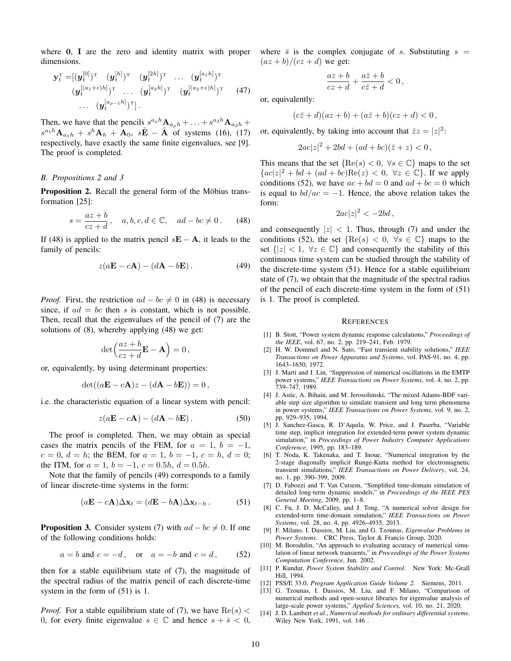where 0, I are the zero and identity matrix with proper dimensions.

$$
\mathbf{y}_{t}^{\mathrm{T}} = [(\boldsymbol{y}_{t}^{[0]})^{\mathrm{T}} \quad (\boldsymbol{y}_{t}^{[h]})^{\mathrm{T}} \quad (\boldsymbol{y}_{t}^{[2h]})^{\mathrm{T}} \quad \dots \quad (\boldsymbol{y}_{t}^{[a_{1}h]})^{\mathrm{T}} (\boldsymbol{y}_{t}^{[(a_{1}+\epsilon)h]})^{\mathrm{T}} \quad \dots \quad (\boldsymbol{y}_{t}^{[a_{2}h]})^{\mathrm{T}} \quad (\boldsymbol{y}_{t}^{[(a_{2}+\epsilon)h]})^{\mathrm{T}} \quad (47) \dots \quad (\boldsymbol{y}_{t}^{[a_{\rho-1}h]})^{\mathrm{T}}].
$$

Then, we have that the pencils  $s^{a_p h} \mathbf{A}_{a_p h} + \ldots + s^{a_2 h} \mathbf{A}_{a_2 h} + \ldots$  $s^{a_1h}\mathbf{A}_{a_1h} + s^h\mathbf{A}_h + \mathbf{A}_0$ ,  $s\tilde{\mathbf{E}} - \tilde{\mathbf{A}}$  of systems (16), (17) respectively, have exactly the same finite eigenvalues, see [9]. The proof is completed.

## *B. Propositions 2 and 3*

Proposition 2. Recall the general form of the Möbius transformation [25]:

$$
s = \frac{az+b}{cz+d}, \quad a, b, c, d \in \mathbb{C}, \quad ad - bc \neq 0. \tag{48}
$$

If (48) is applied to the matrix pencil  $s\mathbf{E} - \mathbf{A}$ , it leads to the family of pencils:

$$
z(a\mathbf{E} - c\mathbf{A}) - (d\mathbf{A} - b\mathbf{E}).
$$
 (49)

*Proof.* First, the restriction  $ad - bc \neq 0$  in (48) is necessary since, if  $ad = bc$  then s is constant, which is not possible. Then, recall that the eigenvalues of the pencil of (7) are the solutions of (8), whereby applying (48) we get:

$$
\det\left(\frac{az+b}{cz+d}\mathbf{E}-\mathbf{A}\right)=0\,,
$$

or, equivalently, by using determinant properties:

$$
\det((a\mathbf{E} - c\mathbf{A})z - (d\mathbf{A} - b\mathbf{E})) = 0,
$$

i.e. the characteristic equation of a linear system with pencil:

$$
z(a\mathbf{E} - c\mathbf{A}) - (d\mathbf{A} - b\mathbf{E}).
$$
 (50)

The proof is completed. Then, we may obtain as special cases the matrix pencils of the FEM, for  $a = 1$ ,  $b = -1$ ,  $c = 0, d = h$ ; the BEM, for  $a = 1, b = -1, c = h, d = 0$ ; the ITM, for  $a = 1$ ,  $b = -1$ ,  $c = 0.5h$ ,  $d = 0.5h$ .

Note that the family of pencils (49) corresponds to a family of linear discrete-time systems in the form:

$$
(a\mathbf{E} - c\mathbf{A})\Delta \mathbf{x}_t = (d\mathbf{E} - b\mathbf{A})\Delta \mathbf{x}_{t-h}.
$$
 (51)

**Proposition 3.** Consider system (7) with  $ad - bc \neq 0$ . If one of the following conditions holds:

$$
a = b \text{ and } c = -d, \quad \text{or} \quad a = -b \text{ and } c = d, \tag{52}
$$

then for a stable equilibrium state of  $(7)$ , the magnitude of the spectral radius of the matrix pencil of each discrete-time system in the form of (51) is 1.

*Proof.* For a stable equilibrium state of (7), we have  $Re(s)$  < 0, for every finite eigenvalue  $s \in \mathbb{C}$  and hence  $s + \bar{s} < 0$ , where  $\bar{s}$  is the complex conjugate of s. Substituting  $s =$  $\frac{az + b}{cz + d}$  we get:

$$
\frac{az+b}{cz+d}+\frac{a\bar{z}+b}{c\bar{z}+d}<0\,,
$$

or, equivalently:

$$
(c\overline{z} + d)(az + b) + (a\overline{z} + b)(cz + d) < 0
$$

or, equivalently, by taking into account that  $\overline{z}z = |z|^2$ :

$$
2ac|z|^2 + 2bd + (ad + bc)(\bar{z} + z) < 0
$$

This means that the set  ${Re(s) < 0, \forall s \in \mathbb{C}}$  maps to the set  ${a}c|z|^2 + bd + (ad + bc)Re(z) < 0, \ \forall z \in \mathbb{C}$ . If we apply conditions (52), we have  $ac + bd = 0$  and  $ad + bc = 0$  which is equal to  $bd/ac = -1$ . Hence, the above relation takes the form:

$$
2ac|z|^2 < -2bd \,,
$$

and consequently  $|z| < 1$ . Thus, through (7) and under the conditions (52), the set  ${Re(s) < 0, \forall s \in \mathbb{C}}$  maps to the set  $\{|z| < 1, \forall z \in \mathbb{C}\}\$  and consequently the stability of this continuous time system can be studied through the stability of the discrete-time system (51). Hence for a stable equilibrium state of (7), we obtain that the magnitude of the spectral radius of the pencil of each discrete-time system in the form of (51) is 1. The proof is completed.

#### **REFERENCES**

- [1] B. Stott, "Power system dynamic response calculations," *Proceedings of the IEEE*, vol. 67, no. 2, pp. 219–241, Feb. 1979.
- [2] H. W. Dommel and N. Sato, "Fast transient stability solutions," *IEEE Transactions on Power Apparatus and Systems*, vol. PAS-91, no. 4, pp. 1643–1650, 1972.
- [3] J. Marti and J. Lin, "Suppression of numerical oscillations in the EMTP power systems," *IEEE Transactions on Power Systems*, vol. 4, no. 2, pp. 739–747, 1989.
- [4] J. Astic, A. Bihain, and M. Jerosolimski, "The mixed Adams-BDF variable step size algorithm to simulate transient and long term phenomena in power systems," *IEEE Transactions on Power Systems*, vol. 9, no. 2, pp. 929–935, 1994.
- [5] J. Sanchez-Gasca, R. D'Aquila, W. Price, and J. Paserba, "Variable time step, implicit integration for extended-term power system dynamic simulation," in *Proceedings of Power Industry Computer Applications Conference*, 1995, pp. 183–189.
- [6] T. Noda, K. Takenaka, and T. Inoue, "Numerical integration by the 2-stage diagonally implicit Runge-Kutta method for electromagnetic transient simulations," *IEEE Transactions on Power Delivery*, vol. 24, no. 1, pp. 390–399, 2009.
- [7] D. Fabozzi and T. Van Cutsem, "Simplified time-domain simulation of detailed long-term dynamic models," in *Proceedings of the IEEE PES General Meeting*, 2009, pp. 1–8.
- [8] C. Fu, J. D. McCalley, and J. Tong, "A numerical solver design for extended-term time-domain simulation," *IEEE Transactions on Power Systems*, vol. 28, no. 4, pp. 4926–4935, 2013.
- [9] F. Milano, I. Dassios, M. Liu, and G. Tzounas, *Eigenvalue Problems in Power Systems*. CRC Press, Taylor & Francis Group, 2020.
- [10] M. Borodulin, "An approach to evaluating accuracy of numerical simulation of linear network transients," in *Proceedings of the Power Systems Computation Conference*, Jun. 2002.
- [11] P. Kundur, *Power System Stability and Control*. New York: Mc-Grall Hill, 1994.
- [12] PSS/E 33.0, *Program Application Guide Volume 2*. Siemens, 2011.
- [13] G. Tzounas, I. Dassios, M. Liu, and F. Milano, "Comparison of numerical methods and open-source libraries for eigenvalue analysis of large-scale power systems," *Applied Sciences*, vol. 10, no. 21, 2020.
- [14] J. D. Lambert *et al.*, *Numerical methods for ordinary differential systems*. Wiley New York, 1991, vol. 146 .